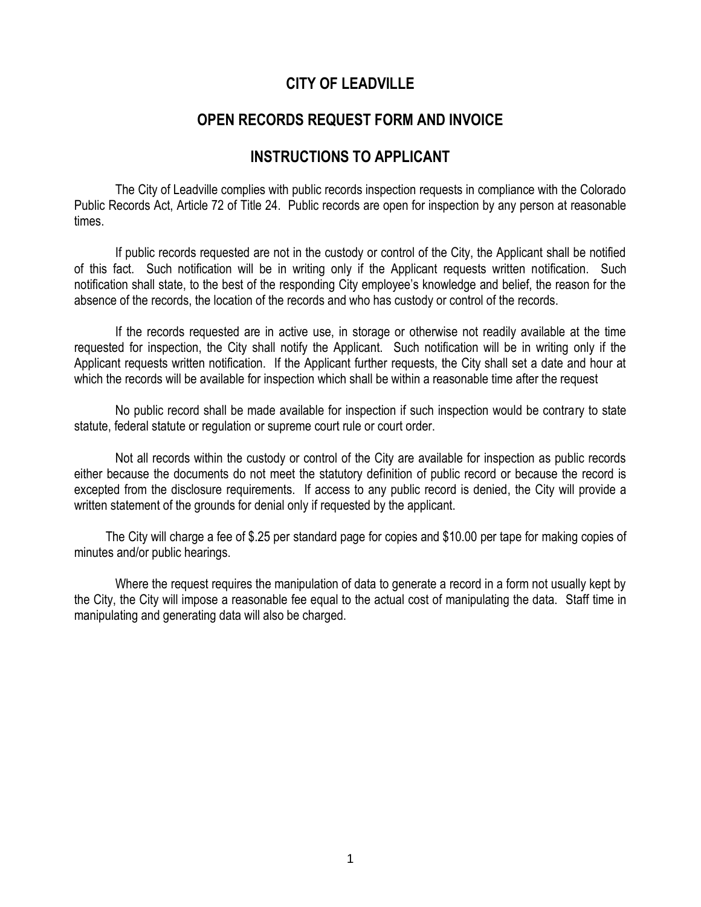## **CITY OF LEADVILLE**

## **OPEN RECORDS REQUEST FORM AND INVOICE**

## **INSTRUCTIONS TO APPLICANT**

The City of Leadville complies with public records inspection requests in compliance with the Colorado Public Records Act, Article 72 of Title 24. Public records are open for inspection by any person at reasonable times.

If public records requested are not in the custody or control of the City, the Applicant shall be notified of this fact. Such notification will be in writing only if the Applicant requests written notification. Such notification shall state, to the best of the responding City employee's knowledge and belief, the reason for the absence of the records, the location of the records and who has custody or control of the records.

If the records requested are in active use, in storage or otherwise not readily available at the time requested for inspection, the City shall notify the Applicant. Such notification will be in writing only if the Applicant requests written notification. If the Applicant further requests, the City shall set a date and hour at which the records will be available for inspection which shall be within a reasonable time after the request

No public record shall be made available for inspection if such inspection would be contrary to state statute, federal statute or regulation or supreme court rule or court order.

Not all records within the custody or control of the City are available for inspection as public records either because the documents do not meet the statutory definition of public record or because the record is excepted from the disclosure requirements. If access to any public record is denied, the City will provide a written statement of the grounds for denial only if requested by the applicant.

 The City will charge a fee of \$.25 per standard page for copies and \$10.00 per tape for making copies of minutes and/or public hearings.

Where the request requires the manipulation of data to generate a record in a form not usually kept by the City, the City will impose a reasonable fee equal to the actual cost of manipulating the data. Staff time in manipulating and generating data will also be charged.